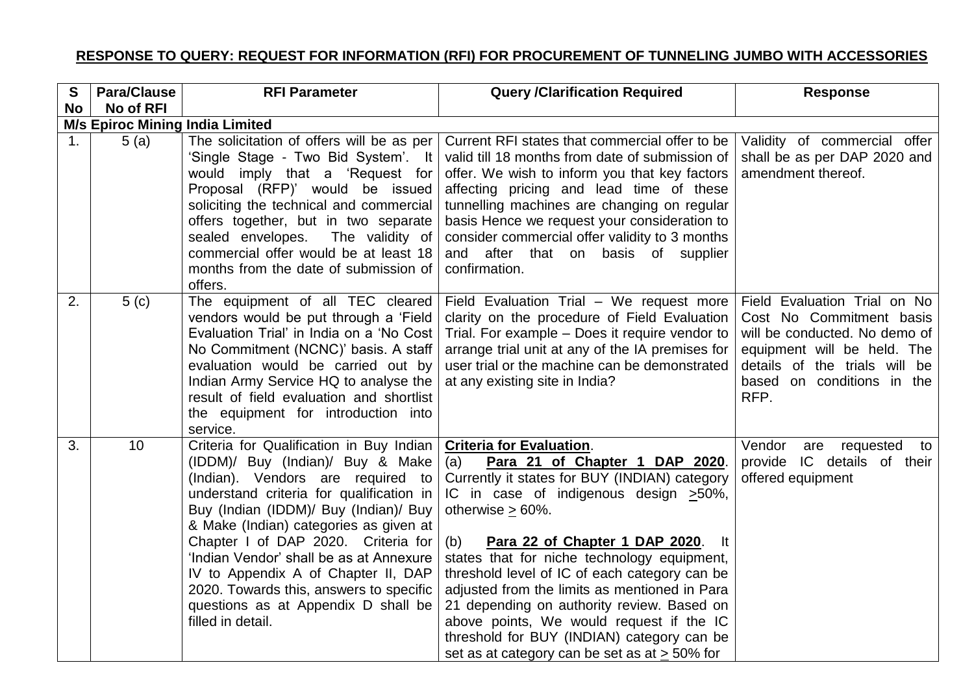## **RESPONSE TO QUERY: REQUEST FOR INFORMATION (RFI) FOR PROCUREMENT OF TUNNELING JUMBO WITH ACCESSORIES**

| S  | <b>Para/Clause</b>                     | <b>RFI Parameter</b>                                                                                                                                                                                                                                                                                                                                                                                                                                                             | <b>Query /Clarification Required</b>                                                                                                                                                                                                                                                                                                                                                                                                                                                                                                                                                                 | <b>Response</b>                                                                                                                                                                                 |  |  |
|----|----------------------------------------|----------------------------------------------------------------------------------------------------------------------------------------------------------------------------------------------------------------------------------------------------------------------------------------------------------------------------------------------------------------------------------------------------------------------------------------------------------------------------------|------------------------------------------------------------------------------------------------------------------------------------------------------------------------------------------------------------------------------------------------------------------------------------------------------------------------------------------------------------------------------------------------------------------------------------------------------------------------------------------------------------------------------------------------------------------------------------------------------|-------------------------------------------------------------------------------------------------------------------------------------------------------------------------------------------------|--|--|
| No | No of RFI                              |                                                                                                                                                                                                                                                                                                                                                                                                                                                                                  |                                                                                                                                                                                                                                                                                                                                                                                                                                                                                                                                                                                                      |                                                                                                                                                                                                 |  |  |
|    | <b>M/s Epiroc Mining India Limited</b> |                                                                                                                                                                                                                                                                                                                                                                                                                                                                                  |                                                                                                                                                                                                                                                                                                                                                                                                                                                                                                                                                                                                      |                                                                                                                                                                                                 |  |  |
| 1. | 5(a)                                   | The solicitation of offers will be as per<br>'Single Stage - Two Bid System'. It<br>would imply that a 'Request for<br>Proposal (RFP)' would be issued<br>soliciting the technical and commercial<br>offers together, but in two separate<br>sealed envelopes.<br>The validity of<br>commercial offer would be at least 18<br>months from the date of submission of<br>offers.                                                                                                   | Current RFI states that commercial offer to be<br>valid till 18 months from date of submission of<br>offer. We wish to inform you that key factors<br>affecting pricing and lead time of these<br>tunnelling machines are changing on regular<br>basis Hence we request your consideration to<br>consider commercial offer validity to 3 months<br>and after that on basis of supplier<br>confirmation.                                                                                                                                                                                              | Validity of commercial offer<br>shall be as per DAP 2020 and<br>amendment thereof.                                                                                                              |  |  |
| 2. | 5(c)                                   | The equipment of all TEC cleared<br>vendors would be put through a 'Field<br>Evaluation Trial' in India on a 'No Cost<br>No Commitment (NCNC)' basis. A staff<br>evaluation would be carried out by<br>Indian Army Service HQ to analyse the<br>result of field evaluation and shortlist<br>the equipment for introduction into<br>service.                                                                                                                                      | Field Evaluation Trial - We request more<br>clarity on the procedure of Field Evaluation<br>Trial. For example - Does it require vendor to<br>arrange trial unit at any of the IA premises for<br>user trial or the machine can be demonstrated<br>at any existing site in India?                                                                                                                                                                                                                                                                                                                    | Field Evaluation Trial on No<br>Cost No Commitment basis<br>will be conducted. No demo of<br>equipment will be held. The<br>details of the trials will be<br>based on conditions in the<br>RFP. |  |  |
| 3. | 10                                     | Criteria for Qualification in Buy Indian<br>(IDDM)/ Buy (Indian)/ Buy & Make<br>(Indian). Vendors are required to<br>understand criteria for qualification in<br>Buy (Indian (IDDM)/ Buy (Indian)/ Buy<br>& Make (Indian) categories as given at<br>Chapter I of DAP 2020. Criteria for<br>'Indian Vendor' shall be as at Annexure<br>IV to Appendix A of Chapter II, DAP<br>2020. Towards this, answers to specific<br>questions as at Appendix D shall be<br>filled in detail. | <b>Criteria for Evaluation.</b><br>(a)<br>Para 21 of Chapter 1 DAP 2020.<br>Currently it states for BUY (INDIAN) category<br>IC in case of indigenous design $\geq 50\%$ ,<br>otherwise $\geq 60\%$ .<br>(b)<br>Para 22 of Chapter 1 DAP 2020.<br>-lt<br>states that for niche technology equipment,<br>threshold level of IC of each category can be<br>adjusted from the limits as mentioned in Para<br>21 depending on authority review. Based on<br>above points, We would request if the IC<br>threshold for BUY (INDIAN) category can be<br>set as at category can be set as at $\geq$ 50% for | Vendor<br>requested<br>are<br>to<br>provide IC details of their<br>offered equipment                                                                                                            |  |  |